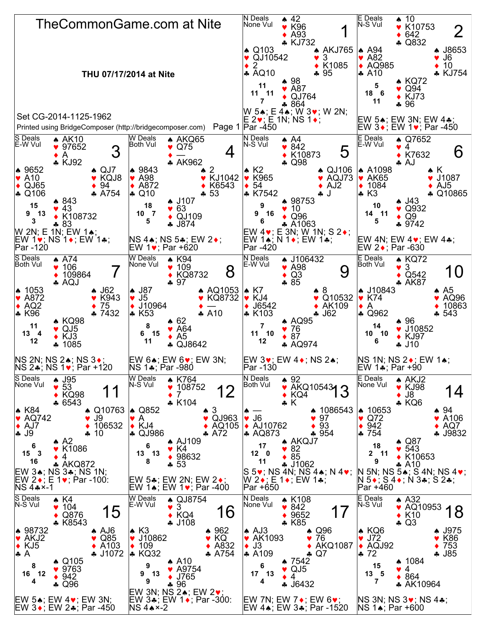